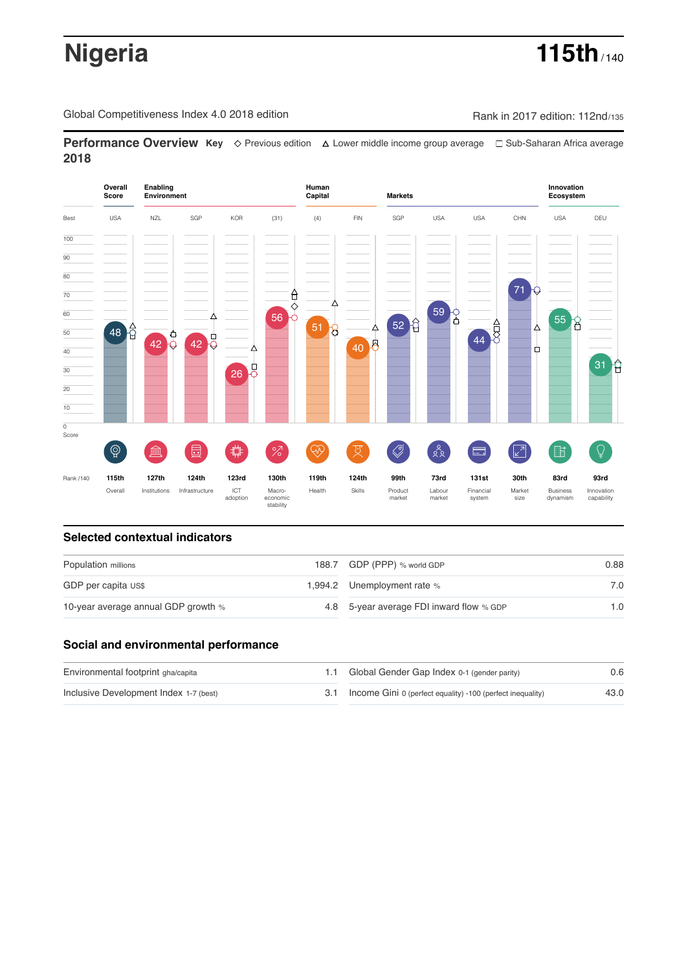# **Nigeria 115th** / 140

Global Competitiveness Index 4.0 2018 edition Rank in 2017 edition: 112nd/135

**Performance Overview Key** Previous edition Lower middle income group average Sub-Saharan Africa average **2018**



## **Selected contextual indicators**

| Population millions                 | 188.7 GDP (PPP) % world GDP              | 0.88 |  |
|-------------------------------------|------------------------------------------|------|--|
| GDP per capita US\$                 | 1,994.2 Unemployment rate %              | 7.0  |  |
| 10-year average annual GDP growth % | 4.8 5-year average FDI inward flow % GDP | 1.0  |  |

## **Social and environmental performance**

| Environmental footprint gha/capita     | 1.1 Global Gender Gap Index 0-1 (gender parity)                | 0.6  |
|----------------------------------------|----------------------------------------------------------------|------|
| Inclusive Development Index 1-7 (best) | 3.1 Income Gini 0 (perfect equality) -100 (perfect inequality) | 43.0 |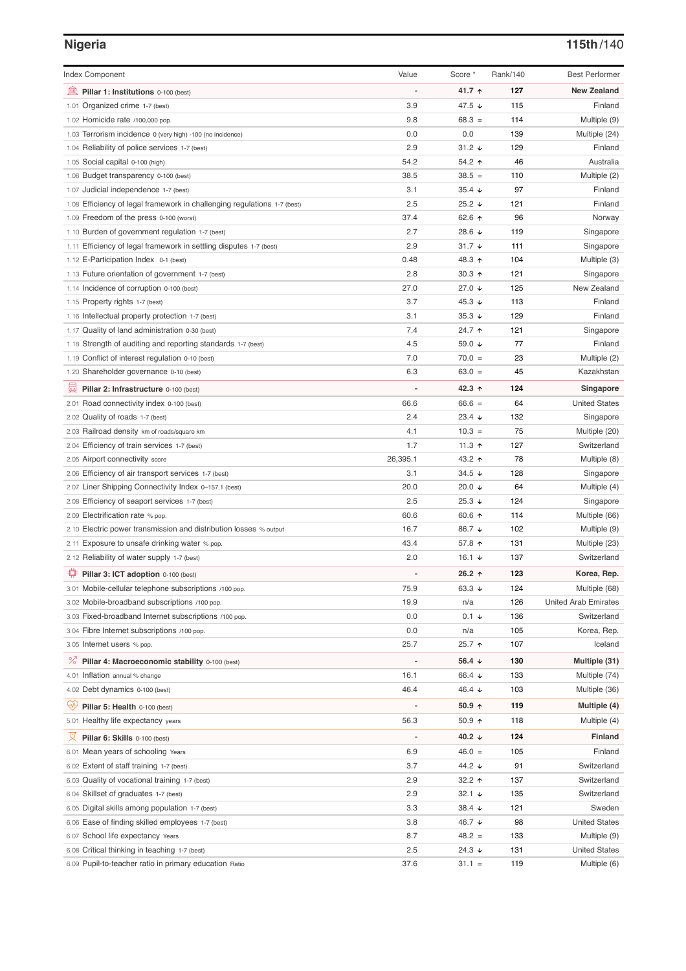## **Nigeria 115th**/140

| <b>Index Component</b>                                                   | Value    | Score *              | Rank/140 | <b>Best Performer</b>       |
|--------------------------------------------------------------------------|----------|----------------------|----------|-----------------------------|
| 寙<br>Pillar 1: Institutions 0-100 (best)                                 |          | 41.7 ↑               | 127      | <b>New Zealand</b>          |
| 1.01 Organized crime 1-7 (best)                                          | 3.9      | 47.5 ↓               | 115      | Finland                     |
| 1.02 Homicide rate /100,000 pop.                                         | 9.8      | $68.3 =$             | 114      | Multiple (9)                |
| 1.03 Terrorism incidence 0 (very high) -100 (no incidence)               | 0.0      | 0.0                  | 139      | Multiple (24)               |
| 1.04 Reliability of police services 1-7 (best)                           | 2.9      | $31.2 +$             | 129      | Finland                     |
| 1.05 Social capital 0-100 (high)                                         | 54.2     | 54.2 ↑               | 46       | Australia                   |
| 1.06 Budget transparency 0-100 (best)                                    | 38.5     | $38.5 =$             | 110      | Multiple (2)                |
| 1.07 Judicial independence 1-7 (best)                                    | 3.1      | $35.4 +$             | 97       | Finland                     |
| 1.08 Efficiency of legal framework in challenging regulations 1-7 (best) | 2.5      | $25.2 +$             | 121      | Finland                     |
| 1.09 Freedom of the press 0-100 (worst)                                  | 37.4     | 62.6 ↑               | 96       | Norway                      |
| 1.10 Burden of government regulation 1-7 (best)                          | 2.7      | 28.6 ↓               | 119      | Singapore                   |
| 1.11 Efficiency of legal framework in settling disputes 1-7 (best)       | 2.9      | $31.7 +$             | 111      | Singapore                   |
| 1.12 E-Participation Index 0-1 (best)                                    | 0.48     | 48.3 ↑               | 104      | Multiple (3)                |
| 1.13 Future orientation of government 1-7 (best)                         | 2.8      | $30.3 \text{ A}$     | 121      | Singapore                   |
| 1.14 Incidence of corruption 0-100 (best)                                | 27.0     | 27.0 ↓               | 125      | New Zealand                 |
| 1.15 Property rights 1-7 (best)                                          | 3.7      | 45.3 ↓               | 113      | Finland                     |
| 1.16 Intellectual property protection 1-7 (best)                         | 3.1      | $35.3 +$             | 129      | Finland                     |
| 1.17 Quality of land administration 0-30 (best)                          | 7.4      | 24.7 ተ               | 121      | Singapore                   |
| 1.18 Strength of auditing and reporting standards 1-7 (best)             | 4.5      | 59.0 ↓               | 77       | Finland                     |
| 1.19 Conflict of interest regulation 0-10 (best)                         | 7.0      | $70.0 =$             | 23       | Multiple (2)                |
| 1.20 Shareholder governance 0-10 (best)                                  | 6.3      | $63.0 =$             | 45       | Kazakhstan                  |
| 囩<br>Pillar 2: Infrastructure 0-100 (best)                               |          | 42.3 ↑               | 124      | Singapore                   |
| 2.01 Road connectivity index 0-100 (best)                                | 66.6     | $66.6 =$             | 64       | <b>United States</b>        |
| 2.02 Quality of roads 1-7 (best)                                         | 2.4      | $23.4 +$             | 132      | Singapore                   |
| 2.03 Railroad density km of roads/square km                              | 4.1      | $10.3 =$             | 75       | Multiple (20)               |
| 2.04 Efficiency of train services 1-7 (best)                             | 1.7      | 11.3 $\uparrow$      | 127      | Switzerland                 |
| 2.05 Airport connectivity score                                          | 26,395.1 | 43.2 ↑               | 78       | Multiple (8)                |
| 2.06 Efficiency of air transport services 1-7 (best)                     | 3.1      | 34.5 $\sqrt{ }$      | 128      | Singapore                   |
| 2.07 Liner Shipping Connectivity Index 0-157.1 (best)                    | 20.0     | 20.0 ↓               | 64       | Multiple (4)                |
| 2.08 Efficiency of seaport services 1-7 (best)                           | 2.5      | $25.3 \downarrow$    | 124      | Singapore                   |
| 2.09 Electrification rate % pop.                                         | 60.6     | 60.6 $\uparrow$      | 114      | Multiple (66)               |
| 2.10 Electric power transmission and distribution losses % output        | 16.7     | 86.7 ↓               | 102      | Multiple (9)                |
| 2.11 Exposure to unsafe drinking water % pop.                            | 43.4     | 57.8 ↑               | 131      | Multiple (23)               |
| 2.12 Reliability of water supply 1-7 (best)                              | 2.0      | 16.1 ↓               | 137      | Switzerland                 |
| Pillar 3: ICT adoption 0-100 (best)                                      |          | 26.2 ↑               | 123      | Korea, Rep.                 |
| 3.01 Mobile-cellular telephone subscriptions /100 pop.                   | 75.9     | 63.3 $\sqrt{ }$      | 124      | Multiple (68)               |
| 3.02 Mobile-broadband subscriptions /100 pop.                            | 19.9     | n/a                  | 126      | <b>United Arab Emirates</b> |
| 3.03 Fixed-broadband Internet subscriptions /100 pop.                    | 0.0      | $0.1 \div$           | 136      | Switzerland                 |
| 3.04 Fibre Internet subscriptions /100 pop.                              | 0.0      | n/a                  | 105      | Korea, Rep.                 |
| 3.05 Internet users % pop.                                               | 25.7     | 25.7 ተ               | 107      | Iceland                     |
| <sup>%</sup> Pillar 4: Macroeconomic stability 0-100 (best)              | Ĭ.       | 56.4 $\downarrow$    | 130      | Multiple (31)               |
| 4.01 Inflation annual % change                                           | 16.1     | 66.4 ↓               | 133      | Multiple (74)               |
| 4.02 Debt dynamics 0-100 (best)                                          | 46.4     | 46.4 ↓               | 103      | Multiple (36)               |
| Qÿ<br>Pillar 5: Health 0-100 (best)                                      | Ĭ.       | $50.9 +$             | 119      | Multiple (4)                |
|                                                                          |          |                      |          |                             |
| 5.01 Healthy life expectancy years                                       | 56.3     | 50.9 个               | 118      | Multiple (4)                |
| 섯<br>Pillar 6: Skills 0-100 (best)                                       | Ĭ.       | 40.2 $\downarrow$    | 124      | <b>Finland</b>              |
| 6.01 Mean years of schooling Years                                       | 6.9      | $46.0 =$             | 105      | Finland                     |
| 6.02 Extent of staff training 1-7 (best)                                 | 3.7      | 44.2 ↓               | 91       | Switzerland                 |
| 6.03 Quality of vocational training 1-7 (best)                           | 2.9      | 32.2 $\uparrow$      | 137      | Switzerland                 |
| 6.04 Skillset of graduates 1-7 (best)                                    | 2.9      | $32.1 +$             | 135      | Switzerland                 |
| 6.05 Digital skills among population 1-7 (best)                          | 3.3      | $38.4 \; \downarrow$ | 121      | Sweden                      |
| 6.06 Ease of finding skilled employees 1-7 (best)                        | 3.8      | 46.7 ↓               | 98       | <b>United States</b>        |
| 6.07 School life expectancy Years                                        | 8.7      | $48.2 =$             | 133      | Multiple (9)                |
| 6.08 Critical thinking in teaching 1-7 (best)                            | 2.5      | 24.3 ↓               | 131      | <b>United States</b>        |
| 6.09 Pupil-to-teacher ratio in primary education Ratio                   | 37.6     | $31.1 =$             | 119      | Multiple (6)                |